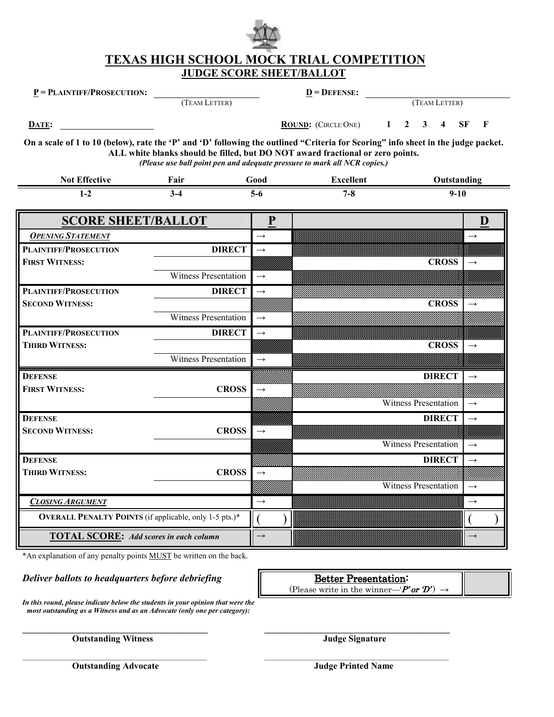

### **TEXAS HIGH SCHOOL MOCK TRIAL COMPETITION JUDGE SCORE SHEET/BALLOT**

 **P = PLAINTIFF/PROSECUTION: D = DEFENSE:** 

(TEAM LETTER) (TEAM LETTER)

**DATE: ROUND:** (CIRCLE ONE) **1 2 3 4 SF F** 

**On a scale of 1 to 10 (below), rate the 'P' and 'D' following the outlined "Criteria for Scoring" info sheet in the judge packet. ALL white blanks should be filled, but DO NOT award fractional or zero points.**  *(Please use ball point pen and adequate pressure to mark all NCR copies.)*

| <b>Not Effective</b>                                          | Fair                        |               | Good              | <b>Excellent</b><br>Outstanding |                   |
|---------------------------------------------------------------|-----------------------------|---------------|-------------------|---------------------------------|-------------------|
| $1 - 2$                                                       | $3 - 4$                     |               | $5-6$             | $7 - 8$<br>$9-10$               |                   |
| <b>SCORE SHEET/BALLOT</b>                                     |                             |               | P                 |                                 | D                 |
| <b>OPENING STATEMENT</b>                                      |                             |               | $\rightarrow$     |                                 | $\rightarrow$     |
| <b>PLAINTIFF/PROSECUTION</b>                                  |                             | <b>DIRECT</b> | $\rightarrow$     |                                 |                   |
| <b>FIRST WITNESS:</b>                                         |                             |               |                   | <b>CROSS</b>                    | $\rightarrow$     |
|                                                               | <b>Witness Presentation</b> |               | $\rightarrow$     |                                 |                   |
| <b>PLAINTIFF/PROSECUTION</b>                                  |                             | <b>DIRECT</b> | $\rightarrow$     |                                 |                   |
| <b>SECOND WITNESS:</b>                                        |                             |               |                   | <b>CROSS</b>                    | $\rightarrow$     |
|                                                               | <b>Witness Presentation</b> |               | $\rightarrow$     |                                 |                   |
| <b>PLAINTIFF/PROSECUTION</b>                                  |                             | <b>DIRECT</b> | $\rightarrow$     |                                 |                   |
| <b>THIRD WITNESS:</b>                                         |                             |               |                   | <b>CROSS</b>                    | $\rightarrow$     |
|                                                               | <b>Witness Presentation</b> |               | $\rightarrow$     |                                 |                   |
| <b>DEFENSE</b>                                                |                             |               |                   | <b>DIRECT</b>                   | $\rightarrow$     |
| <b>FIRST WITNESS:</b>                                         |                             | <b>CROSS</b>  | $\rightarrow$     |                                 |                   |
|                                                               |                             |               |                   | <b>Witness Presentation</b>     | $\rightarrow$     |
| <b>DEFENSE</b>                                                |                             |               |                   | <b>DIRECT</b>                   | $\rightarrow$     |
| <b>SECOND WITNESS:</b>                                        |                             | <b>CROSS</b>  | $\rightarrow$     |                                 |                   |
|                                                               |                             |               |                   | <b>Witness Presentation</b>     | $\longrightarrow$ |
| <b>DEFENSE</b>                                                |                             |               |                   | <b>DIRECT</b>                   | $\rightarrow$     |
| <b>THIRD WITNESS:</b>                                         |                             | <b>CROSS</b>  | $\rightarrow$     |                                 |                   |
|                                                               |                             |               |                   | <b>Witness Presentation</b>     | $\longrightarrow$ |
| <b>CLOSING ARGUMENT</b>                                       |                             |               | $\rightarrow$     |                                 | $\rightarrow$     |
| <b>OVERALL PENALTY POINTS</b> (if applicable, only 1-5 pts.)* |                             |               |                   |                                 |                   |
| <b>TOTAL SCORE:</b> Add scores in each column                 |                             |               | $\longrightarrow$ |                                 | $\rightarrow$     |

\*An explanation of any penalty points MUST be written on the back.

*Deliver ballots to headquarters before debriefing*  $\parallel$  **Better Presentation:** 

*In this round, please indicate below the students in your opinion that were the most outstanding as a Witness and as an Advocate (only one per category):* 

(Please write in the winner—' $P'$  or  $D'$ )  $\rightarrow$ 

**\_\_\_\_\_\_\_\_\_\_\_\_\_\_\_\_\_\_\_\_\_\_\_\_\_\_\_\_\_\_\_\_\_\_\_\_\_\_\_\_\_ Outstanding Witness**

\_\_\_\_\_\_\_\_\_\_\_\_\_\_\_\_\_\_\_\_\_\_\_\_\_\_\_\_\_\_\_\_\_\_\_\_\_\_\_\_\_\_\_\_\_\_\_\_\_\_\_  **Outstanding Advocate** 

**\_\_\_\_\_\_\_\_\_\_\_\_\_\_\_\_\_\_\_\_\_\_\_\_\_\_\_\_\_\_\_\_\_\_\_\_\_\_\_\_\_ Judge Signature**

\_\_\_\_\_\_\_\_\_\_\_\_\_\_\_\_\_\_\_\_\_\_\_\_\_\_\_\_\_\_\_\_\_\_\_\_\_\_\_\_\_\_\_\_\_\_\_\_\_\_\_  **Judge Printed Name**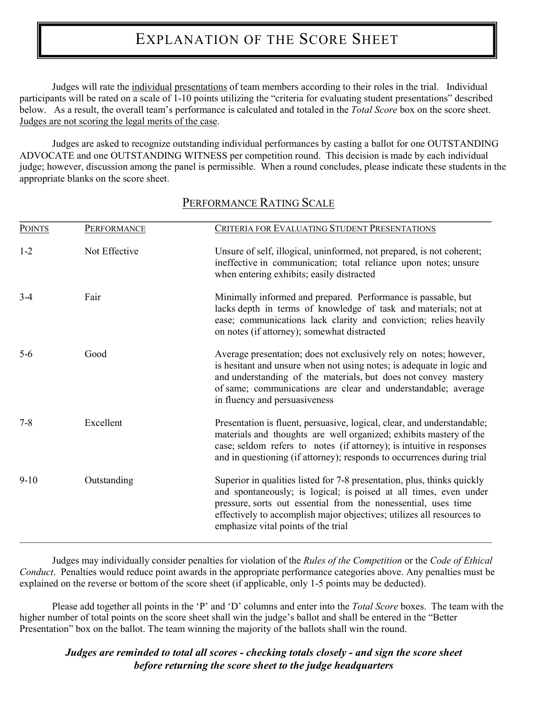# EXPLANATION OF THE SCORE SHEET

Judges will rate the individual presentations of team members according to their roles in the trial. Individual participants will be rated on a scale of 1-10 points utilizing the "criteria for evaluating student presentations" described below. As a result, the overall team's performance is calculated and totaled in the *Total Score* box on the score sheet. Judges are not scoring the legal merits of the case.

Judges are asked to recognize outstanding individual performances by casting a ballot for one OUTSTANDING ADVOCATE and one OUTSTANDING WITNESS per competition round. This decision is made by each individual judge; however, discussion among the panel is permissible. When a round concludes, please indicate these students in the appropriate blanks on the score sheet.

| <b>POINTS</b> | <b>PERFORMANCE</b> | <b>CRITERIA FOR EVALUATING STUDENT PRESENTATIONS</b>                                                                                                                                                                                                                                                                           |  |
|---------------|--------------------|--------------------------------------------------------------------------------------------------------------------------------------------------------------------------------------------------------------------------------------------------------------------------------------------------------------------------------|--|
| $1 - 2$       | Not Effective      | Unsure of self, illogical, uninformed, not prepared, is not coherent;<br>ineffective in communication; total reliance upon notes; unsure<br>when entering exhibits; easily distracted                                                                                                                                          |  |
| $3-4$         | Fair               | Minimally informed and prepared. Performance is passable, but<br>lacks depth in terms of knowledge of task and materials; not at<br>ease; communications lack clarity and conviction; relies heavily<br>on notes (if attorney); somewhat distracted                                                                            |  |
| $5-6$         | Good               | Average presentation; does not exclusively rely on notes; however,<br>is hesitant and unsure when not using notes; is adequate in logic and<br>and understanding of the materials, but does not convey mastery<br>of same; communications are clear and understandable; average<br>in fluency and persuasiveness               |  |
| $7 - 8$       | Excellent          | Presentation is fluent, persuasive, logical, clear, and understandable;<br>materials and thoughts are well organized; exhibits mastery of the<br>case; seldom refers to notes (if attorney); is intuitive in responses<br>and in questioning (if attorney); responds to occurrences during trial                               |  |
| $9-10$        | Outstanding        | Superior in qualities listed for 7-8 presentation, plus, thinks quickly<br>and spontaneously; is logical; is poised at all times, even under<br>pressure, sorts out essential from the nonessential, uses time<br>effectively to accomplish major objectives; utilizes all resources to<br>emphasize vital points of the trial |  |

## PERFORMANCE RATING SCALE

Judges may individually consider penalties for violation of the *Rules of the Competition* or the *Code of Ethical Conduct*. Penalties would reduce point awards in the appropriate performance categories above. Any penalties must be explained on the reverse or bottom of the score sheet (if applicable, only 1-5 points may be deducted).

Please add together all points in the 'P' and 'D' columns and enter into the *Total Score* boxes. The team with the higher number of total points on the score sheet shall win the judge's ballot and shall be entered in the "Better Presentation" box on the ballot. The team winning the majority of the ballots shall win the round.

## *Judges are reminded to total all scores - checking totals closely - and sign the score sheet before returning the score sheet to the judge headquarters*